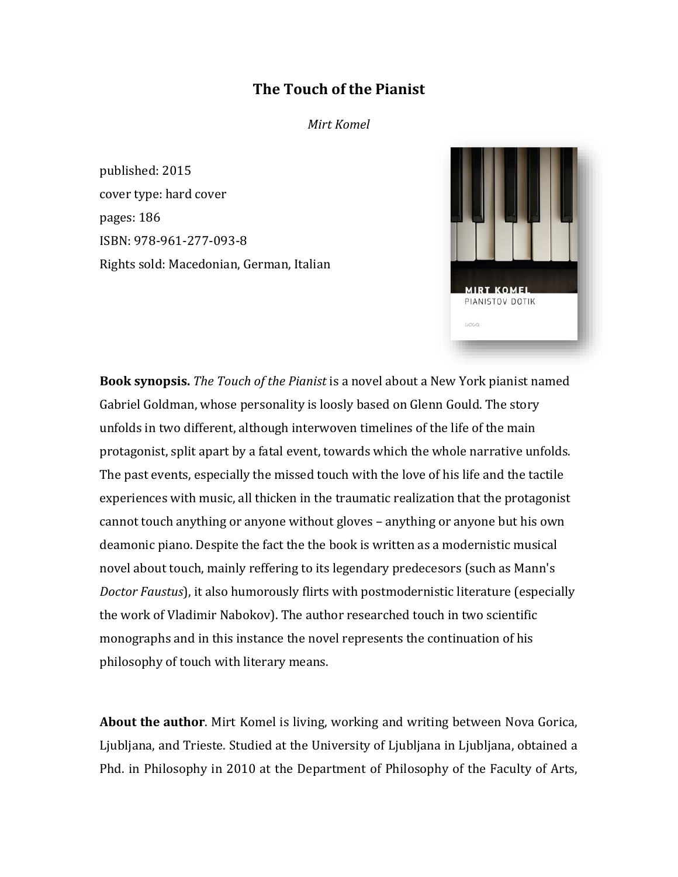## **The Touch of the Pianist**

*Mirt Komel*

published: 2015 cover type: hard cover pages: 186 ISBN: 978-961-277-093-8 Rights sold: Macedonian, German, Italian



**Book synopsis.** *The Touch of the Pianist* is a novel about a New York pianist named Gabriel Goldman, whose personality is loosly based on Glenn Gould. The story unfolds in two different, although interwoven timelines of the life of the main protagonist, split apart by a fatal event, towards which the whole narrative unfolds. The past events, especially the missed touch with the love of his life and the tactile experiences with music, all thicken in the traumatic realization that the protagonist cannot touch anything or anyone without gloves – anything or anyone but his own deamonic piano. Despite the fact the the book is written as a modernistic musical novel about touch, mainly reffering to its legendary predecesors (such as Mann's *Doctor Faustus*), it also humorously flirts with postmodernistic literature (especially the work of Vladimir Nabokov). The author researched touch in two scientific monographs and in this instance the novel represents the continuation of his philosophy of touch with literary means.

**About the author**. Mirt Komel is living, working and writing between Nova Gorica, Ljubljana, and Trieste. Studied at the University of Ljubljana in Ljubljana, obtained a Phd. in Philosophy in 2010 at the Department of Philosophy of the Faculty of Arts,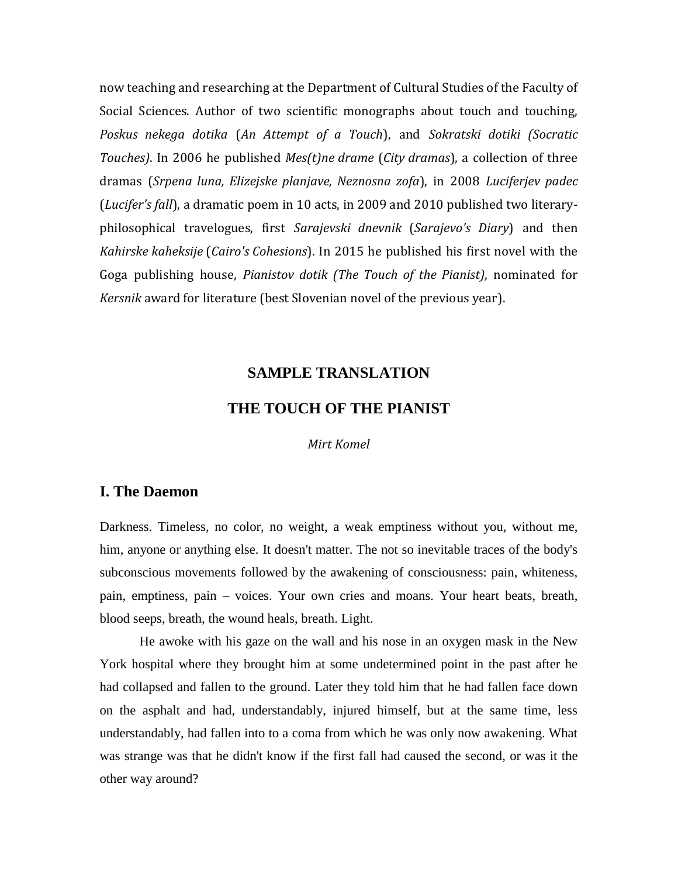now teaching and researching at the Department of Cultural Studies of the Faculty of Social Sciences. Author of two scientific monographs about touch and touching, *Poskus nekega dotika* (*An Attempt of a Touch*), and *Sokratski dotiki (Socratic Touches)*. In 2006 he published *Mes(t)ne drame* (*City dramas*), a collection of three dramas (*Srpena luna, Elizejske planjave, Neznosna zofa*), in 2008 *Luciferjev padec*  (*Lucifer's fall*), a dramatic poem in 10 acts, in 2009 and 2010 published two literaryphilosophical travelogues, first *Sarajevski dnevnik* (*Sarajevo's Diary*) and then *Kahirske kaheksije* (*Cairo's Cohesions*). In 2015 he published his first novel with the Goga publishing house, *Pianistov dotik (The Touch of the Pianist)*, nominated for *Kersnik* award for literature (best Slovenian novel of the previous year).

## **SAMPLE TRANSLATION THE TOUCH OF THE PIANIST**

*Mirt Komel*

## **I. The Daemon**

Darkness. Timeless, no color, no weight, a weak emptiness without you, without me, him, anyone or anything else. It doesn't matter. The not so inevitable traces of the body's subconscious movements followed by the awakening of consciousness: pain, whiteness, pain, emptiness, pain – voices. Your own cries and moans. Your heart beats, breath, blood seeps, breath, the wound heals, breath. Light.

He awoke with his gaze on the wall and his nose in an oxygen mask in the New York hospital where they brought him at some undetermined point in the past after he had collapsed and fallen to the ground. Later they told him that he had fallen face down on the asphalt and had, understandably, injured himself, but at the same time, less understandably, had fallen into to a coma from which he was only now awakening. What was strange was that he didn't know if the first fall had caused the second, or was it the other way around?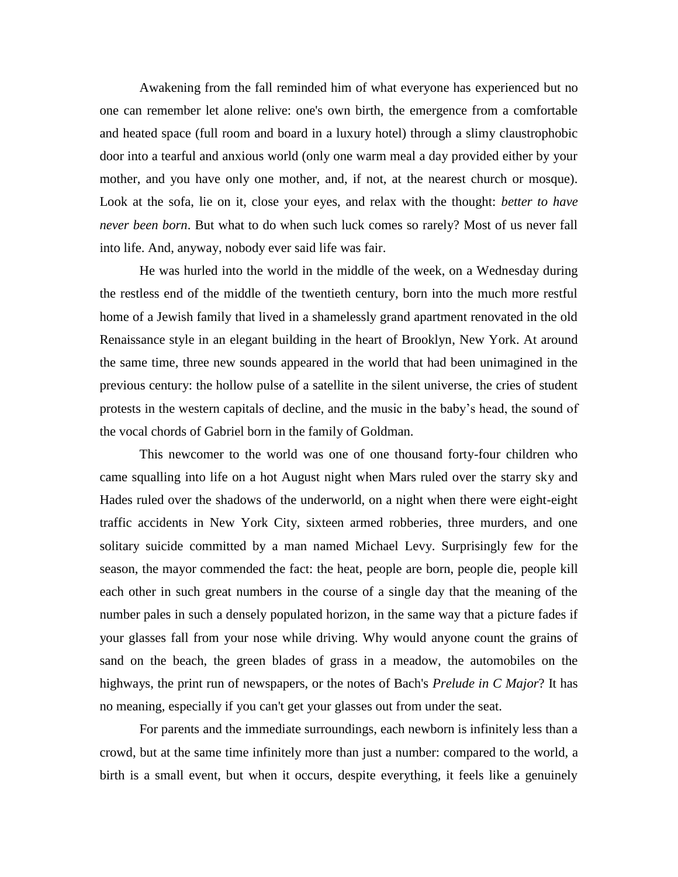Awakening from the fall reminded him of what everyone has experienced but no one can remember let alone relive: one's own birth, the emergence from a comfortable and heated space (full room and board in a luxury hotel) through a slimy claustrophobic door into a tearful and anxious world (only one warm meal a day provided either by your mother, and you have only one mother, and, if not, at the nearest church or mosque). Look at the sofa, lie on it, close your eyes, and relax with the thought: *better to have never been born*. But what to do when such luck comes so rarely? Most of us never fall into life. And, anyway, nobody ever said life was fair.

He was hurled into the world in the middle of the week, on a Wednesday during the restless end of the middle of the twentieth century, born into the much more restful home of a Jewish family that lived in a shamelessly grand apartment renovated in the old Renaissance style in an elegant building in the heart of Brooklyn, New York. At around the same time, three new sounds appeared in the world that had been unimagined in the previous century: the hollow pulse of a satellite in the silent universe, the cries of student protests in the western capitals of decline, and the music in the baby's head, the sound of the vocal chords of Gabriel born in the family of Goldman.

This newcomer to the world was one of one thousand forty-four children who came squalling into life on a hot August night when Mars ruled over the starry sky and Hades ruled over the shadows of the underworld, on a night when there were eight-eight traffic accidents in New York City, sixteen armed robberies, three murders, and one solitary suicide committed by a man named Michael Levy. Surprisingly few for the season, the mayor commended the fact: the heat, people are born, people die, people kill each other in such great numbers in the course of a single day that the meaning of the number pales in such a densely populated horizon, in the same way that a picture fades if your glasses fall from your nose while driving. Why would anyone count the grains of sand on the beach, the green blades of grass in a meadow, the automobiles on the highways, the print run of newspapers, or the notes of Bach's *Prelude in C Major*? It has no meaning, especially if you can't get your glasses out from under the seat.

For parents and the immediate surroundings, each newborn is infinitely less than a crowd, but at the same time infinitely more than just a number: compared to the world, a birth is a small event, but when it occurs, despite everything, it feels like a genuinely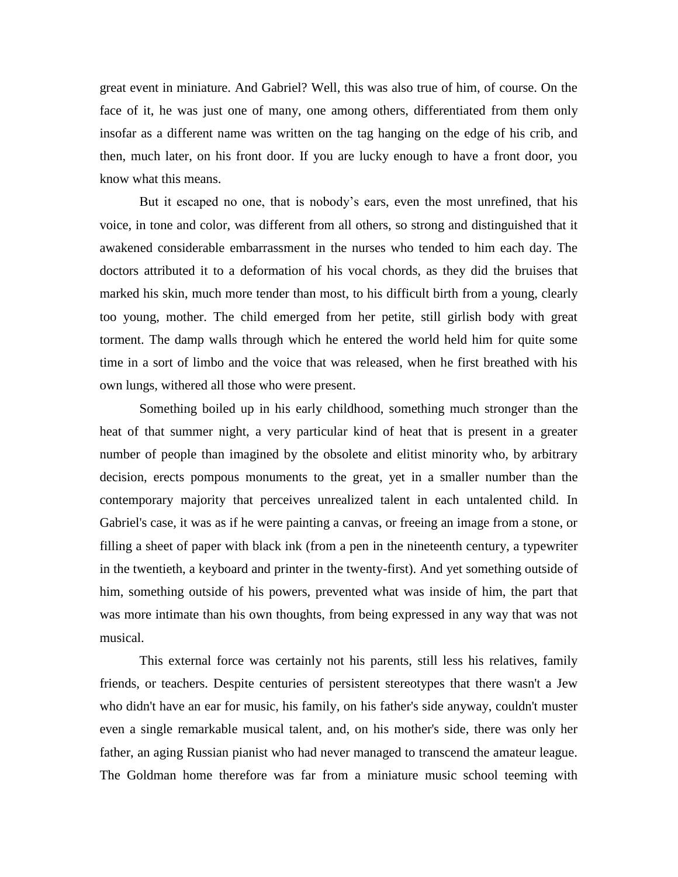great event in miniature. And Gabriel? Well, this was also true of him, of course. On the face of it, he was just one of many, one among others, differentiated from them only insofar as a different name was written on the tag hanging on the edge of his crib, and then, much later, on his front door. If you are lucky enough to have a front door, you know what this means.

But it escaped no one, that is nobody's ears, even the most unrefined, that his voice, in tone and color, was different from all others, so strong and distinguished that it awakened considerable embarrassment in the nurses who tended to him each day. The doctors attributed it to a deformation of his vocal chords, as they did the bruises that marked his skin, much more tender than most, to his difficult birth from a young, clearly too young, mother. The child emerged from her petite, still girlish body with great torment. The damp walls through which he entered the world held him for quite some time in a sort of limbo and the voice that was released, when he first breathed with his own lungs, withered all those who were present.

Something boiled up in his early childhood, something much stronger than the heat of that summer night, a very particular kind of heat that is present in a greater number of people than imagined by the obsolete and elitist minority who, by arbitrary decision, erects pompous monuments to the great, yet in a smaller number than the contemporary majority that perceives unrealized talent in each untalented child. In Gabriel's case, it was as if he were painting a canvas, or freeing an image from a stone, or filling a sheet of paper with black ink (from a pen in the nineteenth century, a typewriter in the twentieth, a keyboard and printer in the twenty-first). And yet something outside of him, something outside of his powers, prevented what was inside of him, the part that was more intimate than his own thoughts, from being expressed in any way that was not musical.

This external force was certainly not his parents, still less his relatives, family friends, or teachers. Despite centuries of persistent stereotypes that there wasn't a Jew who didn't have an ear for music, his family, on his father's side anyway, couldn't muster even a single remarkable musical talent, and, on his mother's side, there was only her father, an aging Russian pianist who had never managed to transcend the amateur league. The Goldman home therefore was far from a miniature music school teeming with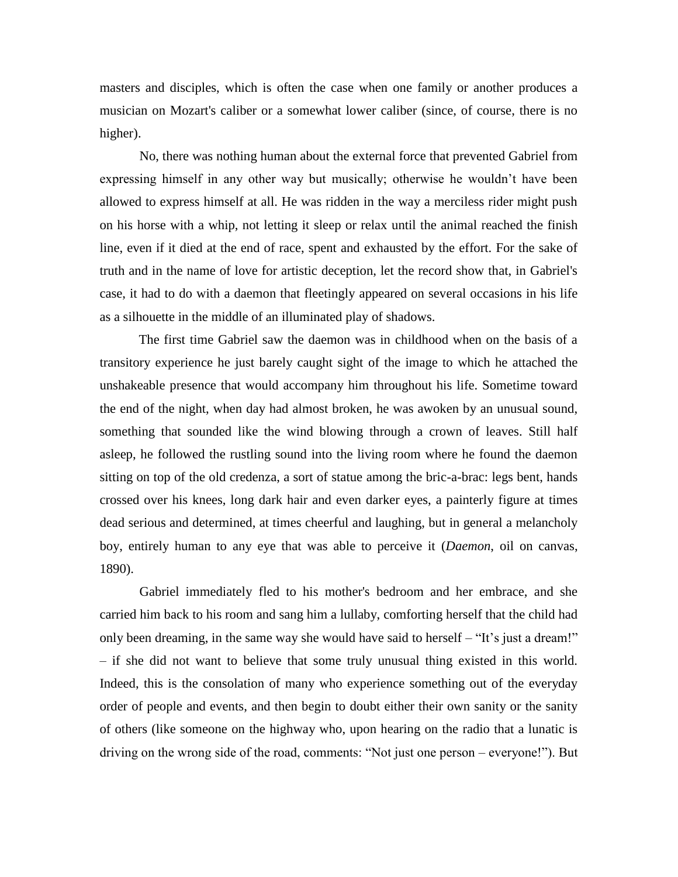masters and disciples, which is often the case when one family or another produces a musician on Mozart's caliber or a somewhat lower caliber (since, of course, there is no higher).

No, there was nothing human about the external force that prevented Gabriel from expressing himself in any other way but musically; otherwise he wouldn't have been allowed to express himself at all. He was ridden in the way a merciless rider might push on his horse with a whip, not letting it sleep or relax until the animal reached the finish line, even if it died at the end of race, spent and exhausted by the effort. For the sake of truth and in the name of love for artistic deception, let the record show that, in Gabriel's case, it had to do with a daemon that fleetingly appeared on several occasions in his life as a silhouette in the middle of an illuminated play of shadows.

The first time Gabriel saw the daemon was in childhood when on the basis of a transitory experience he just barely caught sight of the image to which he attached the unshakeable presence that would accompany him throughout his life. Sometime toward the end of the night, when day had almost broken, he was awoken by an unusual sound, something that sounded like the wind blowing through a crown of leaves. Still half asleep, he followed the rustling sound into the living room where he found the daemon sitting on top of the old credenza, a sort of statue among the bric-a-brac: legs bent, hands crossed over his knees, long dark hair and even darker eyes, a painterly figure at times dead serious and determined, at times cheerful and laughing, but in general a melancholy boy, entirely human to any eye that was able to perceive it (*Daemon*, oil on canvas, 1890).

Gabriel immediately fled to his mother's bedroom and her embrace, and she carried him back to his room and sang him a lullaby, comforting herself that the child had only been dreaming, in the same way she would have said to herself – "It's just a dream!" – if she did not want to believe that some truly unusual thing existed in this world. Indeed, this is the consolation of many who experience something out of the everyday order of people and events, and then begin to doubt either their own sanity or the sanity of others (like someone on the highway who, upon hearing on the radio that a lunatic is driving on the wrong side of the road, comments: "Not just one person – everyone!"). But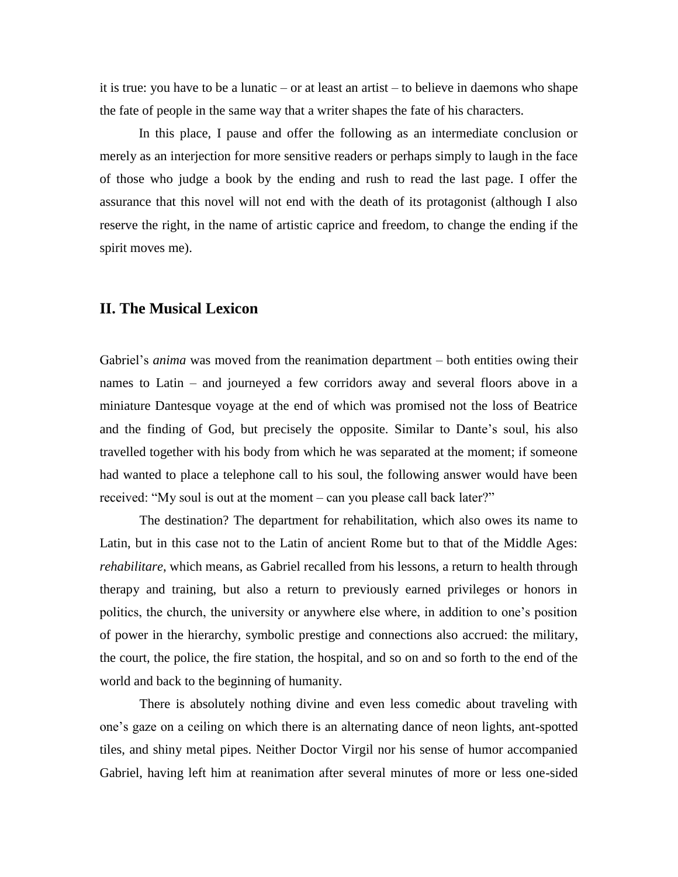it is true: you have to be a lunatic – or at least an artist – to believe in daemons who shape the fate of people in the same way that a writer shapes the fate of his characters.

In this place, I pause and offer the following as an intermediate conclusion or merely as an interjection for more sensitive readers or perhaps simply to laugh in the face of those who judge a book by the ending and rush to read the last page. I offer the assurance that this novel will not end with the death of its protagonist (although I also reserve the right, in the name of artistic caprice and freedom, to change the ending if the spirit moves me).

## **II. The Musical Lexicon**

Gabriel's *anima* was moved from the reanimation department – both entities owing their names to Latin – and journeyed a few corridors away and several floors above in a miniature Dantesque voyage at the end of which was promised not the loss of Beatrice and the finding of God, but precisely the opposite. Similar to Dante's soul, his also travelled together with his body from which he was separated at the moment; if someone had wanted to place a telephone call to his soul, the following answer would have been received: "My soul is out at the moment – can you please call back later?"

The destination? The department for rehabilitation, which also owes its name to Latin, but in this case not to the Latin of ancient Rome but to that of the Middle Ages: *rehabilitare*, which means, as Gabriel recalled from his lessons, a return to health through therapy and training, but also a return to previously earned privileges or honors in politics, the church, the university or anywhere else where, in addition to one's position of power in the hierarchy, symbolic prestige and connections also accrued: the military, the court, the police, the fire station, the hospital, and so on and so forth to the end of the world and back to the beginning of humanity.

There is absolutely nothing divine and even less comedic about traveling with one's gaze on a ceiling on which there is an alternating dance of neon lights, ant-spotted tiles, and shiny metal pipes. Neither Doctor Virgil nor his sense of humor accompanied Gabriel, having left him at reanimation after several minutes of more or less one-sided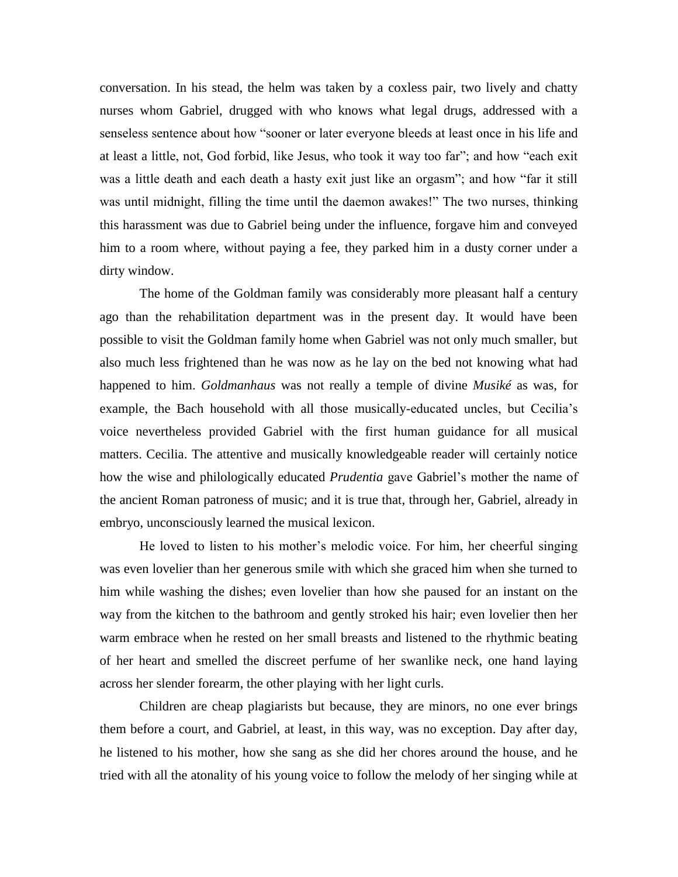conversation. In his stead, the helm was taken by a coxless pair, two lively and chatty nurses whom Gabriel, drugged with who knows what legal drugs, addressed with a senseless sentence about how "sooner or later everyone bleeds at least once in his life and at least a little, not, God forbid, like Jesus, who took it way too far"; and how "each exit was a little death and each death a hasty exit just like an orgasm"; and how "far it still was until midnight, filling the time until the daemon awakes!" The two nurses, thinking this harassment was due to Gabriel being under the influence, forgave him and conveyed him to a room where, without paying a fee, they parked him in a dusty corner under a dirty window.

The home of the Goldman family was considerably more pleasant half a century ago than the rehabilitation department was in the present day. It would have been possible to visit the Goldman family home when Gabriel was not only much smaller, but also much less frightened than he was now as he lay on the bed not knowing what had happened to him. *Goldmanhaus* was not really a temple of divine *Musiké* as was, for example, the Bach household with all those musically-educated uncles, but Cecilia's voice nevertheless provided Gabriel with the first human guidance for all musical matters. Cecilia. The attentive and musically knowledgeable reader will certainly notice how the wise and philologically educated *Prudentia* gave Gabriel's mother the name of the ancient Roman patroness of music; and it is true that, through her, Gabriel, already in embryo, unconsciously learned the musical lexicon.

He loved to listen to his mother's melodic voice. For him, her cheerful singing was even lovelier than her generous smile with which she graced him when she turned to him while washing the dishes; even lovelier than how she paused for an instant on the way from the kitchen to the bathroom and gently stroked his hair; even lovelier then her warm embrace when he rested on her small breasts and listened to the rhythmic beating of her heart and smelled the discreet perfume of her swanlike neck, one hand laying across her slender forearm, the other playing with her light curls.

Children are cheap plagiarists but because, they are minors, no one ever brings them before a court, and Gabriel, at least, in this way, was no exception. Day after day, he listened to his mother, how she sang as she did her chores around the house, and he tried with all the atonality of his young voice to follow the melody of her singing while at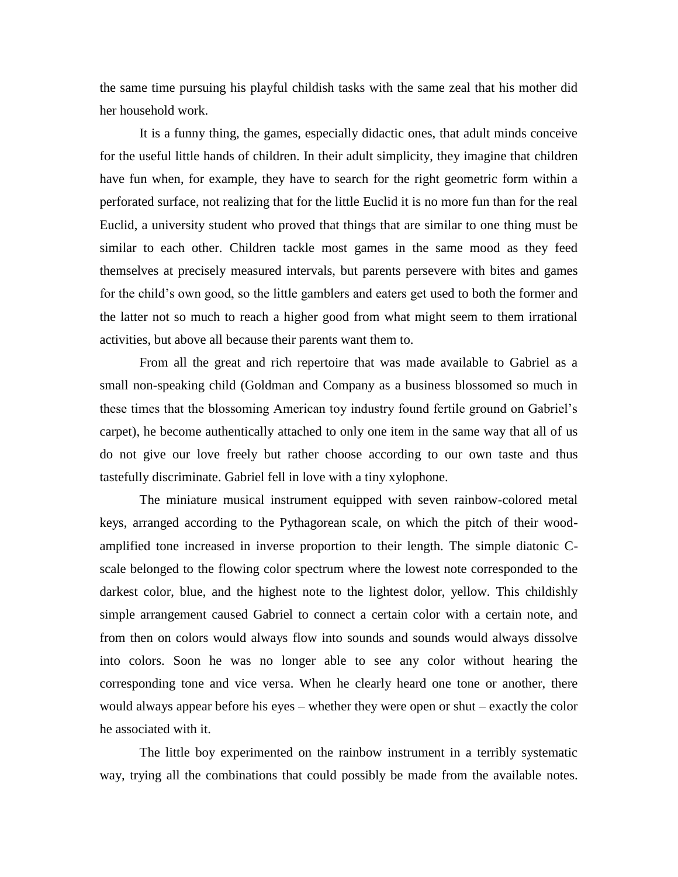the same time pursuing his playful childish tasks with the same zeal that his mother did her household work.

It is a funny thing, the games, especially didactic ones, that adult minds conceive for the useful little hands of children. In their adult simplicity, they imagine that children have fun when, for example, they have to search for the right geometric form within a perforated surface, not realizing that for the little Euclid it is no more fun than for the real Euclid, a university student who proved that things that are similar to one thing must be similar to each other. Children tackle most games in the same mood as they feed themselves at precisely measured intervals, but parents persevere with bites and games for the child's own good, so the little gamblers and eaters get used to both the former and the latter not so much to reach a higher good from what might seem to them irrational activities, but above all because their parents want them to.

From all the great and rich repertoire that was made available to Gabriel as a small non-speaking child (Goldman and Company as a business blossomed so much in these times that the blossoming American toy industry found fertile ground on Gabriel's carpet), he become authentically attached to only one item in the same way that all of us do not give our love freely but rather choose according to our own taste and thus tastefully discriminate. Gabriel fell in love with a tiny xylophone.

The miniature musical instrument equipped with seven rainbow-colored metal keys, arranged according to the Pythagorean scale, on which the pitch of their woodamplified tone increased in inverse proportion to their length. The simple diatonic Cscale belonged to the flowing color spectrum where the lowest note corresponded to the darkest color, blue, and the highest note to the lightest dolor, yellow. This childishly simple arrangement caused Gabriel to connect a certain color with a certain note, and from then on colors would always flow into sounds and sounds would always dissolve into colors. Soon he was no longer able to see any color without hearing the corresponding tone and vice versa. When he clearly heard one tone or another, there would always appear before his eyes – whether they were open or shut – exactly the color he associated with it.

The little boy experimented on the rainbow instrument in a terribly systematic way, trying all the combinations that could possibly be made from the available notes.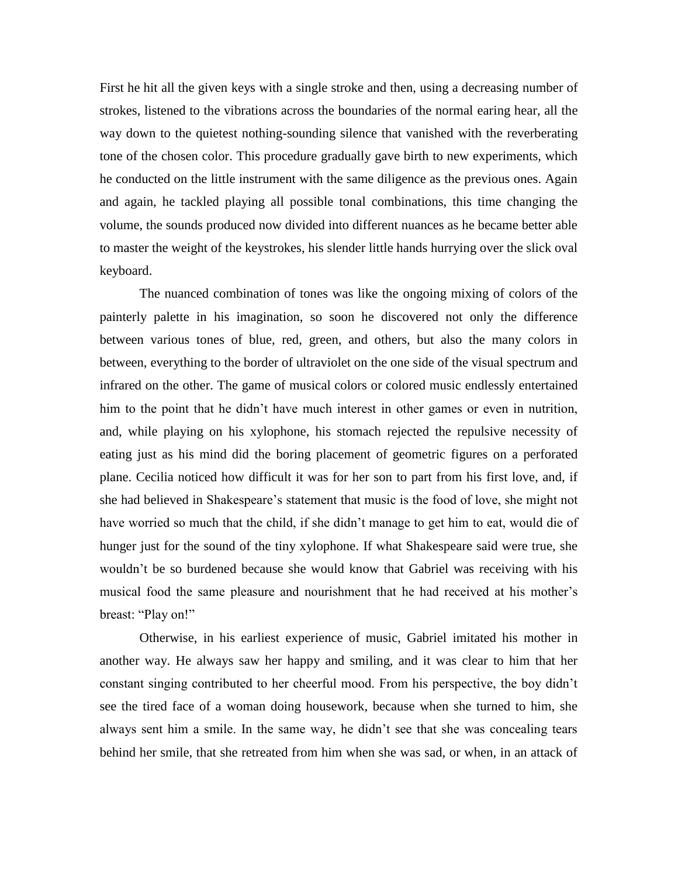First he hit all the given keys with a single stroke and then, using a decreasing number of strokes, listened to the vibrations across the boundaries of the normal earing hear, all the way down to the quietest nothing-sounding silence that vanished with the reverberating tone of the chosen color. This procedure gradually gave birth to new experiments, which he conducted on the little instrument with the same diligence as the previous ones. Again and again, he tackled playing all possible tonal combinations, this time changing the volume, the sounds produced now divided into different nuances as he became better able to master the weight of the keystrokes, his slender little hands hurrying over the slick oval keyboard.

The nuanced combination of tones was like the ongoing mixing of colors of the painterly palette in his imagination, so soon he discovered not only the difference between various tones of blue, red, green, and others, but also the many colors in between, everything to the border of ultraviolet on the one side of the visual spectrum and infrared on the other. The game of musical colors or colored music endlessly entertained him to the point that he didn't have much interest in other games or even in nutrition, and, while playing on his xylophone, his stomach rejected the repulsive necessity of eating just as his mind did the boring placement of geometric figures on a perforated plane. Cecilia noticed how difficult it was for her son to part from his first love, and, if she had believed in Shakespeare's statement that music is the food of love, she might not have worried so much that the child, if she didn't manage to get him to eat, would die of hunger just for the sound of the tiny xylophone. If what Shakespeare said were true, she wouldn't be so burdened because she would know that Gabriel was receiving with his musical food the same pleasure and nourishment that he had received at his mother's breast: "Play on!"

Otherwise, in his earliest experience of music, Gabriel imitated his mother in another way. He always saw her happy and smiling, and it was clear to him that her constant singing contributed to her cheerful mood. From his perspective, the boy didn't see the tired face of a woman doing housework, because when she turned to him, she always sent him a smile. In the same way, he didn't see that she was concealing tears behind her smile, that she retreated from him when she was sad, or when, in an attack of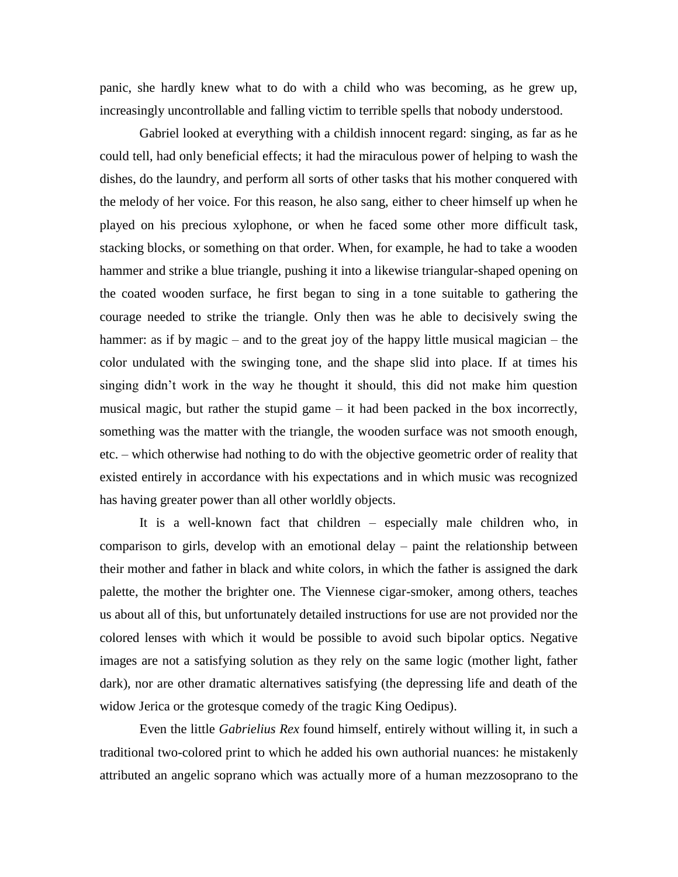panic, she hardly knew what to do with a child who was becoming, as he grew up, increasingly uncontrollable and falling victim to terrible spells that nobody understood.

Gabriel looked at everything with a childish innocent regard: singing, as far as he could tell, had only beneficial effects; it had the miraculous power of helping to wash the dishes, do the laundry, and perform all sorts of other tasks that his mother conquered with the melody of her voice. For this reason, he also sang, either to cheer himself up when he played on his precious xylophone, or when he faced some other more difficult task, stacking blocks, or something on that order. When, for example, he had to take a wooden hammer and strike a blue triangle, pushing it into a likewise triangular-shaped opening on the coated wooden surface, he first began to sing in a tone suitable to gathering the courage needed to strike the triangle. Only then was he able to decisively swing the hammer: as if by magic – and to the great joy of the happy little musical magician – the color undulated with the swinging tone, and the shape slid into place. If at times his singing didn't work in the way he thought it should, this did not make him question musical magic, but rather the stupid game – it had been packed in the box incorrectly, something was the matter with the triangle, the wooden surface was not smooth enough, etc. – which otherwise had nothing to do with the objective geometric order of reality that existed entirely in accordance with his expectations and in which music was recognized has having greater power than all other worldly objects.

It is a well-known fact that children – especially male children who, in comparison to girls, develop with an emotional delay – paint the relationship between their mother and father in black and white colors, in which the father is assigned the dark palette, the mother the brighter one. The Viennese cigar-smoker, among others, teaches us about all of this, but unfortunately detailed instructions for use are not provided nor the colored lenses with which it would be possible to avoid such bipolar optics. Negative images are not a satisfying solution as they rely on the same logic (mother light, father dark), nor are other dramatic alternatives satisfying (the depressing life and death of the widow Jerica or the grotesque comedy of the tragic King Oedipus).

Even the little *Gabrielius Rex* found himself, entirely without willing it, in such a traditional two-colored print to which he added his own authorial nuances: he mistakenly attributed an angelic soprano which was actually more of a human mezzosoprano to the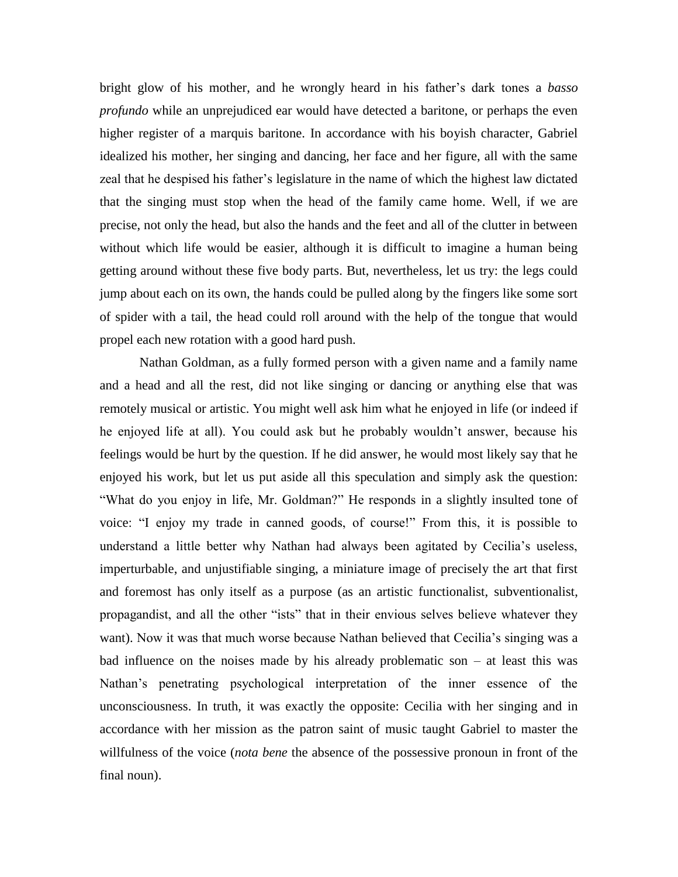bright glow of his mother, and he wrongly heard in his father's dark tones a *basso profundo* while an unprejudiced ear would have detected a baritone, or perhaps the even higher register of a marquis baritone. In accordance with his boyish character, Gabriel idealized his mother, her singing and dancing, her face and her figure, all with the same zeal that he despised his father's legislature in the name of which the highest law dictated that the singing must stop when the head of the family came home. Well, if we are precise, not only the head, but also the hands and the feet and all of the clutter in between without which life would be easier, although it is difficult to imagine a human being getting around without these five body parts. But, nevertheless, let us try: the legs could jump about each on its own, the hands could be pulled along by the fingers like some sort of spider with a tail, the head could roll around with the help of the tongue that would propel each new rotation with a good hard push.

Nathan Goldman, as a fully formed person with a given name and a family name and a head and all the rest, did not like singing or dancing or anything else that was remotely musical or artistic. You might well ask him what he enjoyed in life (or indeed if he enjoyed life at all). You could ask but he probably wouldn't answer, because his feelings would be hurt by the question. If he did answer, he would most likely say that he enjoyed his work, but let us put aside all this speculation and simply ask the question: "What do you enjoy in life, Mr. Goldman?" He responds in a slightly insulted tone of voice: "I enjoy my trade in canned goods, of course!" From this, it is possible to understand a little better why Nathan had always been agitated by Cecilia's useless, imperturbable, and unjustifiable singing, a miniature image of precisely the art that first and foremost has only itself as a purpose (as an artistic functionalist, subventionalist, propagandist, and all the other "ists" that in their envious selves believe whatever they want). Now it was that much worse because Nathan believed that Cecilia's singing was a bad influence on the noises made by his already problematic son – at least this was Nathan's penetrating psychological interpretation of the inner essence of the unconsciousness. In truth, it was exactly the opposite: Cecilia with her singing and in accordance with her mission as the patron saint of music taught Gabriel to master the willfulness of the voice (*nota bene* the absence of the possessive pronoun in front of the final noun).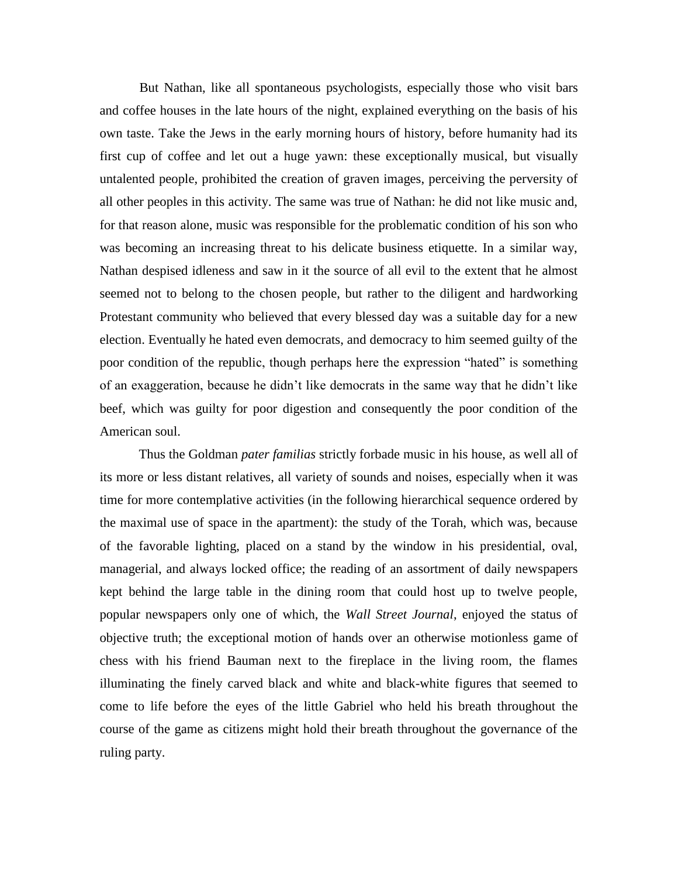But Nathan, like all spontaneous psychologists, especially those who visit bars and coffee houses in the late hours of the night, explained everything on the basis of his own taste. Take the Jews in the early morning hours of history, before humanity had its first cup of coffee and let out a huge yawn: these exceptionally musical, but visually untalented people, prohibited the creation of graven images, perceiving the perversity of all other peoples in this activity. The same was true of Nathan: he did not like music and, for that reason alone, music was responsible for the problematic condition of his son who was becoming an increasing threat to his delicate business etiquette. In a similar way, Nathan despised idleness and saw in it the source of all evil to the extent that he almost seemed not to belong to the chosen people, but rather to the diligent and hardworking Protestant community who believed that every blessed day was a suitable day for a new election. Eventually he hated even democrats, and democracy to him seemed guilty of the poor condition of the republic, though perhaps here the expression "hated" is something of an exaggeration, because he didn't like democrats in the same way that he didn't like beef, which was guilty for poor digestion and consequently the poor condition of the American soul.

Thus the Goldman *pater familias* strictly forbade music in his house, as well all of its more or less distant relatives, all variety of sounds and noises, especially when it was time for more contemplative activities (in the following hierarchical sequence ordered by the maximal use of space in the apartment): the study of the Torah, which was, because of the favorable lighting, placed on a stand by the window in his presidential, oval, managerial, and always locked office; the reading of an assortment of daily newspapers kept behind the large table in the dining room that could host up to twelve people, popular newspapers only one of which, the *Wall Street Journal*, enjoyed the status of objective truth; the exceptional motion of hands over an otherwise motionless game of chess with his friend Bauman next to the fireplace in the living room, the flames illuminating the finely carved black and white and black-white figures that seemed to come to life before the eyes of the little Gabriel who held his breath throughout the course of the game as citizens might hold their breath throughout the governance of the ruling party.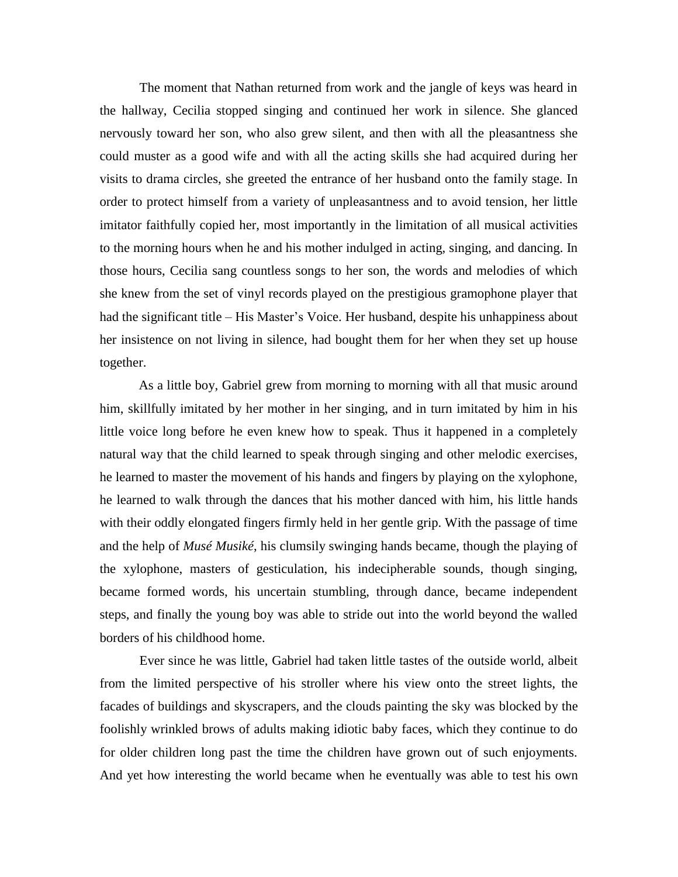The moment that Nathan returned from work and the jangle of keys was heard in the hallway, Cecilia stopped singing and continued her work in silence. She glanced nervously toward her son, who also grew silent, and then with all the pleasantness she could muster as a good wife and with all the acting skills she had acquired during her visits to drama circles, she greeted the entrance of her husband onto the family stage. In order to protect himself from a variety of unpleasantness and to avoid tension, her little imitator faithfully copied her, most importantly in the limitation of all musical activities to the morning hours when he and his mother indulged in acting, singing, and dancing. In those hours, Cecilia sang countless songs to her son, the words and melodies of which she knew from the set of vinyl records played on the prestigious gramophone player that had the significant title – His Master's Voice. Her husband, despite his unhappiness about her insistence on not living in silence, had bought them for her when they set up house together.

As a little boy, Gabriel grew from morning to morning with all that music around him, skillfully imitated by her mother in her singing, and in turn imitated by him in his little voice long before he even knew how to speak. Thus it happened in a completely natural way that the child learned to speak through singing and other melodic exercises, he learned to master the movement of his hands and fingers by playing on the xylophone, he learned to walk through the dances that his mother danced with him, his little hands with their oddly elongated fingers firmly held in her gentle grip. With the passage of time and the help of *Musé Musiké*, his clumsily swinging hands became, though the playing of the xylophone, masters of gesticulation, his indecipherable sounds, though singing, became formed words, his uncertain stumbling, through dance, became independent steps, and finally the young boy was able to stride out into the world beyond the walled borders of his childhood home.

Ever since he was little, Gabriel had taken little tastes of the outside world, albeit from the limited perspective of his stroller where his view onto the street lights, the facades of buildings and skyscrapers, and the clouds painting the sky was blocked by the foolishly wrinkled brows of adults making idiotic baby faces, which they continue to do for older children long past the time the children have grown out of such enjoyments. And yet how interesting the world became when he eventually was able to test his own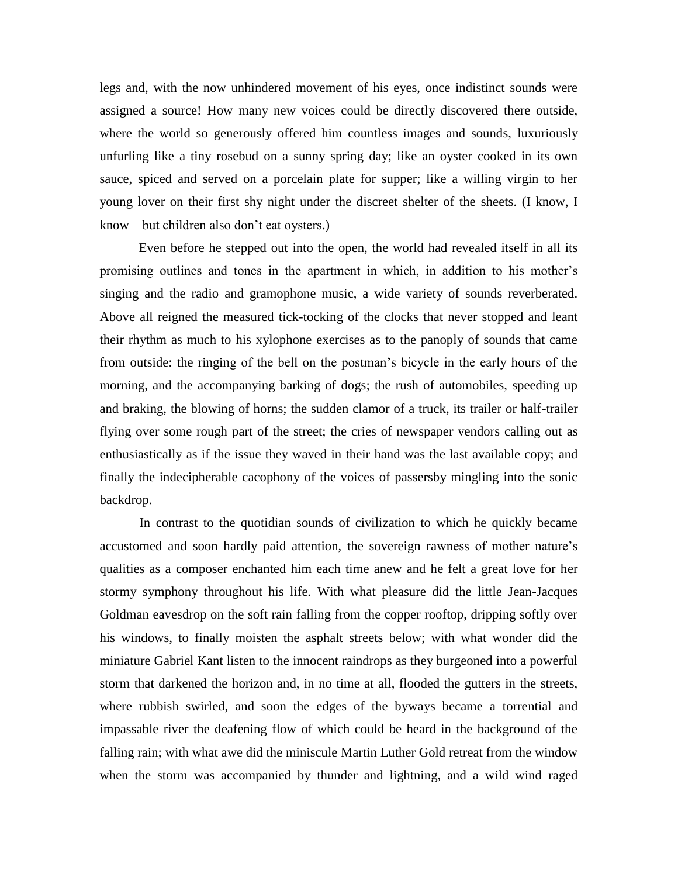legs and, with the now unhindered movement of his eyes, once indistinct sounds were assigned a source! How many new voices could be directly discovered there outside, where the world so generously offered him countless images and sounds, luxuriously unfurling like a tiny rosebud on a sunny spring day; like an oyster cooked in its own sauce, spiced and served on a porcelain plate for supper; like a willing virgin to her young lover on their first shy night under the discreet shelter of the sheets. (I know, I know – but children also don't eat oysters.)

Even before he stepped out into the open, the world had revealed itself in all its promising outlines and tones in the apartment in which, in addition to his mother's singing and the radio and gramophone music, a wide variety of sounds reverberated. Above all reigned the measured tick-tocking of the clocks that never stopped and leant their rhythm as much to his xylophone exercises as to the panoply of sounds that came from outside: the ringing of the bell on the postman's bicycle in the early hours of the morning, and the accompanying barking of dogs; the rush of automobiles, speeding up and braking, the blowing of horns; the sudden clamor of a truck, its trailer or half-trailer flying over some rough part of the street; the cries of newspaper vendors calling out as enthusiastically as if the issue they waved in their hand was the last available copy; and finally the indecipherable cacophony of the voices of passersby mingling into the sonic backdrop.

In contrast to the quotidian sounds of civilization to which he quickly became accustomed and soon hardly paid attention, the sovereign rawness of mother nature's qualities as a composer enchanted him each time anew and he felt a great love for her stormy symphony throughout his life. With what pleasure did the little Jean-Jacques Goldman eavesdrop on the soft rain falling from the copper rooftop, dripping softly over his windows, to finally moisten the asphalt streets below; with what wonder did the miniature Gabriel Kant listen to the innocent raindrops as they burgeoned into a powerful storm that darkened the horizon and, in no time at all, flooded the gutters in the streets, where rubbish swirled, and soon the edges of the byways became a torrential and impassable river the deafening flow of which could be heard in the background of the falling rain; with what awe did the miniscule Martin Luther Gold retreat from the window when the storm was accompanied by thunder and lightning, and a wild wind raged